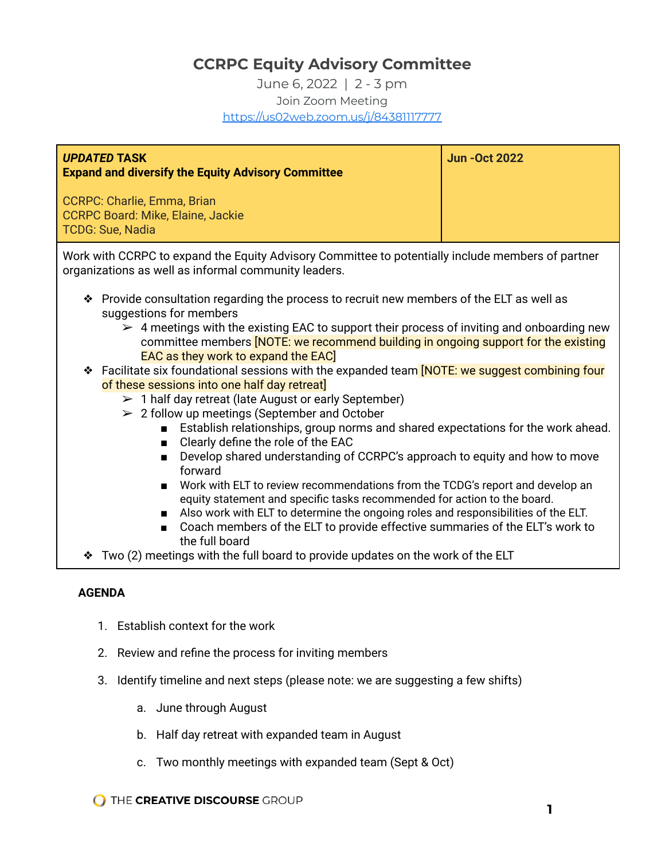# **CCRPC Equity Advisory Committee**

June 6, 2022 | 2 - 3 pm Join Zoom Meeting <https://us02web.zoom.us/j/84381117777>

| <b>UPDATED TASK</b><br><b>Expand and diversify the Equity Advisory Committee</b>            | <b>Jun-Oct 2022</b> |
|---------------------------------------------------------------------------------------------|---------------------|
| CCRPC: Charlie, Emma, Brian<br><b>CCRPC Board: Mike, Elaine, Jackie</b><br>TCDG: Sue, Nadia |                     |

Work with CCRPC to expand the Equity Advisory Committee to potentially include members of partner organizations as well as informal community leaders.

- ❖ Provide consultation regarding the process to recruit new members of the ELT as well as suggestions for members
	- $\geq 4$  meetings with the existing EAC to support their process of inviting and onboarding new committee members **[NOTE: we recommend building in ongoing support for the existing** EAC as they work to expand the EAC]
- ❖ Facilitate six foundational sessions with the expanded team [NOTE: we suggest combining four of these sessions into one half day retreat]
	- $> 1$  half day retreat (late August or early September)
	- $\geq$  2 follow up meetings (September and October
		- Establish relationships, group norms and shared expectations for the work ahead.
		- Clearly define the role of the EAC
		- Develop shared understanding of CCRPC's approach to equity and how to move forward
		- Work with ELT to review recommendations from the TCDG's report and develop an equity statement and specific tasks recommended for action to the board.
		- Also work with ELT to determine the ongoing roles and responsibilities of the ELT.
		- Coach members of the ELT to provide effective summaries of the ELT's work to the full board
- ❖ Two (2) meetings with the full board to provide updates on the work of the ELT

# **AGENDA**

- 1. Establish context for the work
- 2. Review and refine the process for inviting members
- 3. Identify timeline and next steps (please note: we are suggesting a few shifts)
	- a. June through August
	- b. Half day retreat with expanded team in August
	- c. Two monthly meetings with expanded team (Sept & Oct)

**O THE CREATIVE DISCOURSE GROUP**